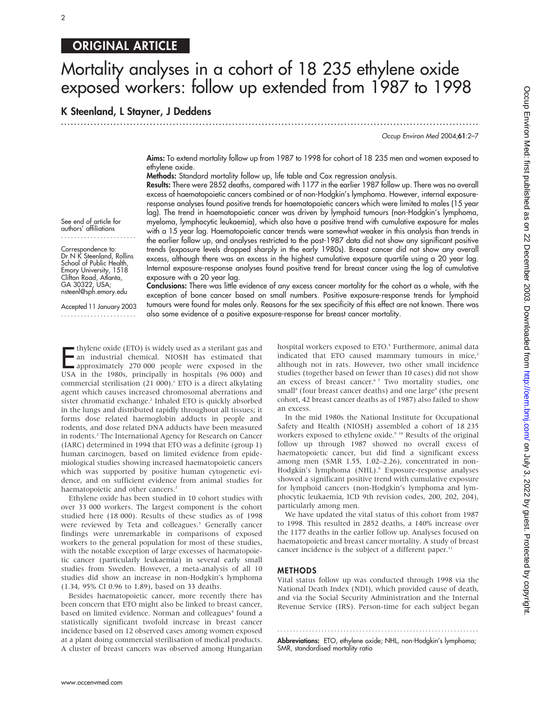## ORIGINAL ARTICLE

 $\mathfrak{p}$ 

# Mortality analyses in a cohort of 18 235 ethylene oxide exposed workers: follow up extended from 1987 to 1998

K Steenland, L Stayner, J Deddens

See end of article for authors' affiliations ....................... Correspondence to: Dr N K Steenland, Rollins School of Public Health, Emory University, 1518 Clifton Road, Atlanta, GA 30322, USA; nsteenl@sph.emory.edu Accepted 11 January 2003 .......................

Occup Environ Med 2004;61:2–7

Aims: To extend mortality follow up from 1987 to 1998 for cohort of 18 235 men and women exposed to ethylene oxide.

Methods: Standard mortality follow up, life table and Cox regression analysis.

.............................................................................................................................. .

Results: There were 2852 deaths, compared with 1177 in the earlier 1987 follow up. There was no overall excess of haematopoietic cancers combined or of non-Hodgkin's lymphoma. However, internal exposureresponse analyses found positive trends for haematopoietic cancers which were limited to males (15 year lag). The trend in haematopoietic cancer was driven by lymphoid tumours (non-Hodgkin's lymphoma, myeloma, lymphocytic leukaemia), which also have a positive trend with cumulative exposure for males with a 15 year lag. Haematopoietic cancer trends were somewhat weaker in this analysis than trends in the earlier follow up, and analyses restricted to the post-1987 data did not show any significant positive trends (exposure levels dropped sharply in the early 1980s). Breast cancer did not show any overall excess, although there was an excess in the highest cumulative exposure quartile using a 20 year lag. Internal exposure-response analyses found positive trend for breast cancer using the log of cumulative exposure with a 20 year lag.

Conclusions: There was little evidence of any excess cancer mortality for the cohort as a whole, with the exception of bone cancer based on small numbers. Positive exposure-response trends for lymphoid tumours were found for males only. Reasons for the sex specificity of this effect are not known. There was also some evidence of a positive exposure-response for breast cancer mortality.

**E** thylene oxide (ETO) is widely used as a sterilant gas and<br>an industrial chemical. NIOSH has estimated that<br>approximately 270 000 people were exposed in the<br>USA in the 1980s principally in bospitals (96,000) and an industrial chemical. NIOSH has estimated that approximately 270 000 people were exposed in the USA in the 1980s, principally in hospitals (96 000) and commercial sterilisation  $(21\ 000)$ .<sup>1</sup> ETO is a direct alkylating agent which causes increased chromosomal aberrations and sister chromatid exchange.<sup>2</sup> Inhaled ETO is quickly absorbed in the lungs and distributed rapidly throughout all tissues; it forms dose related haemoglobin adducts in people and rodents, and dose related DNA adducts have been measured in rodents.<sup>2</sup> The International Agency for Research on Cancer (IARC) determined in 1994 that ETO was a definite (group 1) human carcinogen, based on limited evidence from epidemiological studies showing increased haematopoietic cancers which was supported by positive human cytogenetic evidence, and on sufficient evidence from animal studies for haematopoietic and other cancers.<sup>2</sup>

Ethylene oxide has been studied in 10 cohort studies with over 33 000 workers. The largest component is the cohort studied here (18 000). Results of these studies as of 1998 were reviewed by Teta and colleagues.<sup>3</sup> Generally cancer findings were unremarkable in comparisons of exposed workers to the general population for most of these studies, with the notable exception of large excesses of haematopoietic cancer (particularly leukaemia) in several early small studies from Sweden. However, a meta-analysis of all 10 studies did show an increase in non-Hodgkin's lymphoma (1.34, 95% CI 0.96 to 1.89), based on 33 deaths.

Besides haematopoietic cancer, more recently there has been concern that ETO might also be linked to breast cancer, based on limited evidence. Norman and colleagues<sup>4</sup> found a statistically significant twofold increase in breast cancer incidence based on 12 observed cases among women exposed at a plant doing commercial sterilisation of medical products. A cluster of breast cancers was observed among Hungarian hospital workers exposed to ETO.<sup>5</sup> Furthermore, animal data indicated that ETO caused mammary tumours in mice, $2$ although not in rats. However, two other small incidence studies (together based on fewer than 10 cases) did not show an excess of breast cancer.<sup>67</sup> Two mortality studies, one small<sup>8</sup> (four breast cancer deaths) and one large<sup>9</sup> (the present cohort, 42 breast cancer deaths as of 1987) also failed to show an excess.

In the mid 1980s the National Institute for Occupational Safety and Health (NIOSH) assembled a cohort of 18 235 workers exposed to ethylene oxide.<sup>9 10</sup> Results of the original follow up through 1987 showed no overall excess of haematopoietic cancer, but did find a significant excess among men (SMR 1.55, 1.02–2.26), concentrated in non-Hodgkin's lymphoma (NHL).<sup>9</sup> Exposure-response analyses showed a significant positive trend with cumulative exposure for lymphoid cancers (non-Hodgkin's lymphoma and lymphocytic leukaemia, ICD 9th revision codes, 200, 202, 204), particularly among men.

We have updated the vital status of this cohort from 1987 to 1998. This resulted in 2852 deaths, a 140% increase over the 1177 deaths in the earlier follow up. Analyses focused on haematopoietic and breast cancer mortality. A study of breast cancer incidence is the subject of a different paper.<sup>11</sup>

#### METHODS

Vital status follow up was conducted through 1998 via the National Death Index (NDI), which provided cause of death, and via the Social Security Administration and the Internal Revenue Service (IRS). Person-time for each subject began

............................................................... . Abbreviations: ETO, ethylene oxide; NHL, non-Hodgkin's lymphoma; SMR, standardised mortality ratio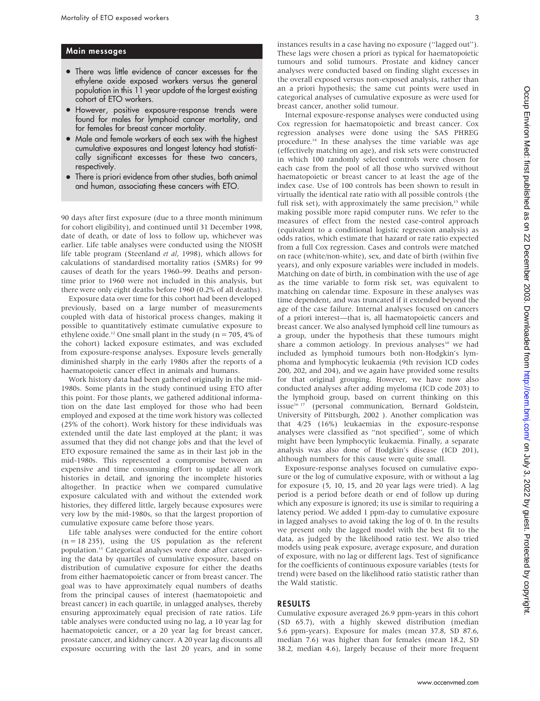#### Main messages

- There was little evidence of cancer excesses for the ethylene oxide exposed workers versus the general population in this 11 year update of the largest existing cohort of ETO workers.
- $\bullet$  However, positive exposure-response trends were found for males for lymphoid cancer mortality, and for females for breast cancer mortality.
- Male and female workers of each sex with the highest cumulative exposures and longest latency had statistically significant excesses for these two cancers, respectively.
- There is priori evidence from other studies, both animal and human, associating these cancers with ETO.

90 days after first exposure (due to a three month minimum for cohort eligibility), and continued until 31 December 1998, date of death, or date of loss to follow up, whichever was earlier. Life table analyses were conducted using the NIOSH life table program (Steenland et al, 1998), which allows for calculations of standardised mortality ratios (SMRs) for 99 causes of death for the years 1960–99. Deaths and persontime prior to 1960 were not included in this analysis, but there were only eight deaths before 1960 (0.2% of all deaths).

Exposure data over time for this cohort had been developed previously, based on a large number of measurements coupled with data of historical process changes, making it possible to quantitatively estimate cumulative exposure to ethylene oxide.<sup>12</sup> One small plant in the study ( $n = 705$ , 4% of the cohort) lacked exposure estimates, and was excluded from exposure-response analyses. Exposure levels generally diminished sharply in the early 1980s after the reports of a haematopoietic cancer effect in animals and humans.

Work history data had been gathered originally in the mid-1980s. Some plants in the study continued using ETO after this point. For those plants, we gathered additional information on the date last employed for those who had been employed and exposed at the time work history was collected (25% of the cohort). Work history for these individuals was extended until the date last employed at the plant; it was assumed that they did not change jobs and that the level of ETO exposure remained the same as in their last job in the mid-1980s. This represented a compromise between an expensive and time consuming effort to update all work histories in detail, and ignoring the incomplete histories altogether. In practice when we compared cumulative exposure calculated with and without the extended work histories, they differed little, largely because exposures were very low by the mid-1980s, so that the largest proportion of cumulative exposure came before those years.

Life table analyses were conducted for the entire cohort  $(n = 18 235)$ , using the US population as the referent population.13 Categorical analyses were done after categorising the data by quartiles of cumulative exposure, based on distribution of cumulative exposure for either the deaths from either haematopoietic cancer or from breast cancer. The goal was to have approximately equal numbers of deaths from the principal causes of interest (haematopoietic and breast cancer) in each quartile, in unlagged analyses, thereby ensuring approximately equal precision of rate ratios. Life table analyses were conducted using no lag, a 10 year lag for haematopoietic cancer, or a 20 year lag for breast cancer, prostate cancer, and kidney cancer. A 20 year lag discounts all exposure occurring with the last 20 years, and in some

instances results in a case having no exposure (''lagged out''). These lags were chosen a priori as typical for haematopoietic tumours and solid tumours. Prostate and kidney cancer analyses were conducted based on finding slight excesses in the overall exposed versus non-exposed analysis, rather than an a priori hypothesis; the same cut points were used in categorical analyses of cumulative exposure as were used for breast cancer, another solid tumour.

Internal exposure-response analyses were conducted using Cox regression for haematopoietic and breast cancer. Cox regression analyses were done using the SAS PHREG procedure.<sup>14</sup> In these analyses the time variable was age (effectively matching on age), and risk sets were constructed in which 100 randomly selected controls were chosen for each case from the pool of all those who survived without haematopoietic or breast cancer to at least the age of the index case. Use of 100 controls has been shown to result in virtually the identical rate ratio with all possible controls (the full risk set), with approximately the same precision, $15$  while making possible more rapid computer runs. We refer to the measures of effect from the nested case-control approach (equivalent to a conditional logistic regression analysis) as odds ratios, which estimate that hazard or rate ratio expected from a full Cox regression. Cases and controls were matched on race (white/non-white), sex, and date of birth (within five years), and only exposure variables were included in models. Matching on date of birth, in combination with the use of age as the time variable to form risk set, was equivalent to matching on calendar time. Exposure in these analyses was time dependent, and was truncated if it extended beyond the age of the case failure. Internal analyses focused on cancers of a priori interest—that is, all haematopoietic cancers and breast cancer. We also analysed lymphoid cell line tumours as a group, under the hypothesis that these tumours might share a common aetiology. In previous analyses<sup>10</sup> we had included as lymphoid tumours both non-Hodgkin's lymphoma and lymphocytic leukaemia (9th revision ICD codes 200, 202, and 204), and we again have provided some results for that original grouping. However, we have now also conducted analyses after adding myeloma (ICD code 203) to the lymphoid group, based on current thinking on this issue<sup>16</sup><sup>17</sup> (personal communication, Bernard Goldstein, University of Pittsburgh, 2002 ). Another complication was that 4/25 (16%) leukaemias in the exposure-response analyses were classified as ''not specified'', some of which might have been lymphocytic leukaemia. Finally, a separate analysis was also done of Hodgkin's disease (ICD 201), although numbers for this cause were quite small.

Exposure-response analyses focused on cumulative exposure or the log of cumulative exposure, with or without a lag for exposure (5, 10, 15, and 20 year lags were tried). A lag period is a period before death or end of follow up during which any exposure is ignored; its use is similar to requiring a latency period. We added 1 ppm-day to cumulative exposure in lagged analyses to avoid taking the log of 0. In the results we present only the lagged model with the best fit to the data, as judged by the likelihood ratio test. We also tried models using peak exposure, average exposure, and duration of exposure, with no lag or different lags. Test of significance for the coefficients of continuous exposure variables (tests for trend) were based on the likelihood ratio statistic rather than the Wald statistic.

#### RESULTS

Cumulative exposure averaged 26.9 ppm-years in this cohort (SD 65.7), with a highly skewed distribution (median 5.6 ppm-years). Exposure for males (mean 37.8, SD 87.6, median 7.6) was higher than for females (mean 18.2, SD 38.2, median 4.6), largely because of their more frequent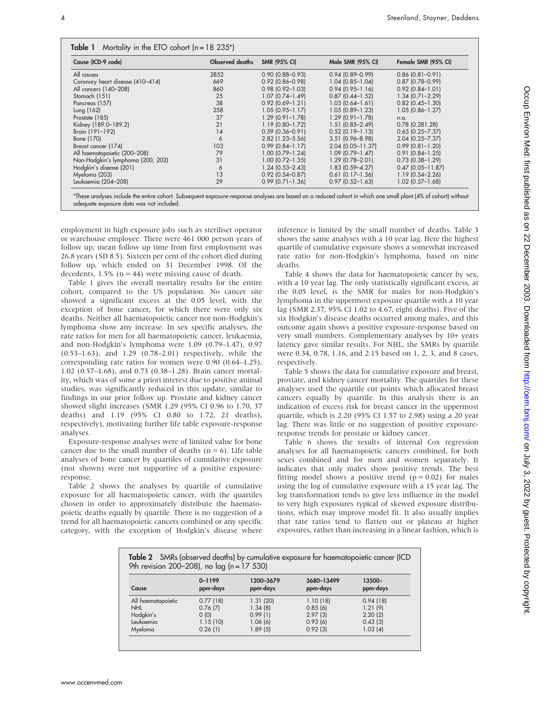| Cause (ICD-9 code)                | <b>Observed deaths</b> | <b>SMR (95% CI)</b>    | Male SMR (95% CI)      | Female SMR (95% CI)    |
|-----------------------------------|------------------------|------------------------|------------------------|------------------------|
| All causes                        | 2852                   | $0.90$ (0.88-0.93)     | $0.94(0.89 - 0.99)$    | $0.86$ (0.81-0.91)     |
| Coronary heart disease (410-414)  | 669                    | $0.92$ (0.86-0.98)     | $1.04(0.85 - 1.04)$    | $0.87$ (0.78-0.99)     |
| All cancers (140-208)             | 860                    | $0.98$ (0.92-1.03)     | $0.94(0.95 - 1.16)$    | $0.92$ (0.84-1.01)     |
| Stomach (151)                     | 25                     | $1.07(0.74 - 1.49)$    | $0.87$ $(0.44 - 1.52)$ | $1.34(0.71 - 2.29)$    |
| Pancreas (157)                    | 38                     | $0.92(0.69 - 1.21)$    | $1.03(0.64 - 1.61)$    | $0.82$ (0.45-1.30)     |
| Lung (162)                        | 258                    | $1.05(0.95 - 1.17)$    | $1.05(0.89 - 1.23)$    | $1.05(0.86 - 1.27)$    |
| Prostate (185)                    | 37                     | $1.29(0.91 - 1.78)$    | $1.29$ (0.91-1.78)     | n.a.                   |
| Kidney (189.0-189.2)              | 21                     | 1.19 (0.80-1.72)       | $1.51(0.85 - 2.49)$    | $0.78$ $(0.281.28)$    |
| Brain (191-192)                   | 14                     | $0.59(0.36 - 0.91)$    | $0.52$ (0.19-1.13)     | $0.65$ $(0.25 - 7.37)$ |
| Bone (170)                        | 6                      | $2.82$ (1.23-5.56)     | 3.51 (0.96-8.98)       | $2.04(0.25 - 7.37)$    |
| Breast cancer (174)               | 103                    | $0.99(0.84 - 1.17)$    | $2.04(0.05 - 11.37)$   | $0.99$ (0.81-1.20)     |
| All haematopoietic (200-208)      | 79                     | $1.00$ (0.79-1.24)     | $1.09$ (0.79-1.47)     | $0.91(0.84 - 1.25)$    |
| Non-Hodgkin's lymphoma (200, 202) | 31                     | $1.00$ $(0.72 - 1.35)$ | 1.29 (0.78-2.01)       | $0.73$ $(0.38 - 1.29)$ |
| Hodgkin's disease (201)           | 6                      | $1.24(0.53 - 2.43)$    | $1.83(0.59 - 4.27)$    | $0.47$ (0.05-11.87)    |
| Myeloma (203)                     | 13                     | $0.92$ (0.54-0.87)     | $0.61$ (0.17-1.56)     | $1.19(0.54 - 2.26)$    |
| Leukaemia (204–208)               | 29                     | $0.99$ (0.71-1.36)     | $0.97$ $(0.52 - 1.63)$ | $1.02$ (0.57-1.68)     |

adequate exposure data was not included.

employment in high exposure jobs such as steriliser operator or warehouse employee. There were 461 000 person years of follow up; mean follow up time from first employment was 26.8 years (SD 8.5). Sixteen per cent of the cohort died during follow up, which ended on 31 December 1998. Of the decedents,  $1.5\%$  (n = 44) were missing cause of death.

Table 1 gives the overall mortality results for the entire cohort, compared to the US population. No cancer site showed a significant excess at the 0.05 level, with the exception of bone cancer, for which there were only six deaths. Neither all haematopoietic cancer nor non-Hodgkin's lymphoma show any increase. In sex specific analyses, the rate ratios for men for all haematopoietic cancer, leukaemia, and non-Hodgkin's lymphoma were 1.09 (0.79–1.47), 0.97 (0.53–1.63), and 1.29 (0.78–2.01) respectively, while the corresponding rate ratios for women were 0.90 (0.64–1.25), 1.02 (0.57–1.68), and 0.73 (0.38–1.28). Brain cancer mortality, which was of some a priori interest due to positive animal studies, was significantly reduced in this update, similar to findings in our prior follow up. Prostate and kidney cancer showed slight increases (SMR 1.29 (95% CI 0.96 to 1.70, 37 deaths) and 1.19 (95% CI 0.80 to 1.72, 21 deaths), respectively), motivating further life table exposure-response analyses.

Exposure-response analyses were of limited value for bone cancer due to the small number of deaths  $(n = 6)$ . Life table analyses of bone cancer by quartiles of cumulative exposure (not shown) were not supportive of a positive exposureresponse.

Table 2 shows the analyses by quartile of cumulative exposure for all haematopoietic cancer, with the quartiles chosen in order to approximately distribute the haematopoietic deaths equally by quartile. There is no suggestion of a trend for all haematopoietic cancers combined or any specific category, with the exception of Hodgkin's disease where inference is limited by the small number of deaths. Table 3 shows the same analyses with a 10 year lag. Here the highest quartile of cumulative exposure shows a somewhat increased rate ratio for non-Hodgkin's lymphoma, based on nine deaths.

Table 4 shows the data for haematopoietic cancer by sex, with a 10 year lag. The only statistically significant excess, at the 0.05 level, is the SMR for males for non-Hodgkin's lymphoma in the uppermost exposure quartile with a 10 year lag (SMR 2.37, 95% CI 1.02 to 4.67, eight deaths). Five of the six Hodgkin's disease deaths occurred among males, and this outcome again shows a positive exposure-response based on very small numbers. Complementary analyses by 10+ years latency gave similar results. For NHL, the SMRs by quartile were 0.34, 0.78, 1.16, and 2.15 based on 1, 2, 3, and 8 cases, respectively.

Table 5 shows the data for cumulative exposure and breast, prostate, and kidney cancer mortality. The quartiles for these analyses used the quartile cut points which allocated breast cancers equally by quartile. In this analysis there is an indication of excess risk for breast cancer in the uppermost quartile, which is 2.20 (95% CI 1.57 to 2.98) using a 20 year lag. There was little or no suggestion of positive exposureresponse trends for prostate or kidney cancer.

Table 6 shows the results of internal Cox regression analyses for all haematopoietic cancers combined, for both sexes combined and for men and women separately. It indicates that only males show positive trends. The best fitting model shows a positive trend  $(p = 0.02)$  for males using the log of cumulative exposure with a 15 year lag. The log transformation tends to give less influence in the model to very high exposures typical of skewed exposure distributions, which may improve model fit. It also usually implies that rate ratios tend to flatten out or plateau at higher exposures, rather than increasing in a linear fashion, which is

| Table 2 SMRs (observed deaths) by cumulative exposure for haematopoietic cancer (ICD<br>9th revision 200-208), no $\log (n = 17530)$ |           |            |           |
|--------------------------------------------------------------------------------------------------------------------------------------|-----------|------------|-----------|
| $0 - 1199$                                                                                                                           | 1200-3679 | 3680-13499 | $13500 +$ |

| Cause              | $0 - 1199$<br>ppm-days | 1200-3679<br>ppm-days | 3080-13499<br>ppm-days | $13500 +$<br>ppm-days |
|--------------------|------------------------|-----------------------|------------------------|-----------------------|
| All haematopoietic | 0.77(18)               | 1.31(20)              | 1.10(18)               | 0.94(18)              |
| <b>NHL</b>         | 0.76(7)                | 1.34(8)               | 0.85(6)                | 1.21(9)               |
| Hodgkin's          | (0)                    | 0.99(1)               | 2.97(3)                | 2.20(2)               |
| Leukaemia          | 1.15(10)               | 1.06(6)               | 0.93(6)                | 0.43(3)               |
| Myeloma            | 0.26(1)                | 1.89(5)               | 0.92(3)                | 1.03(4)               |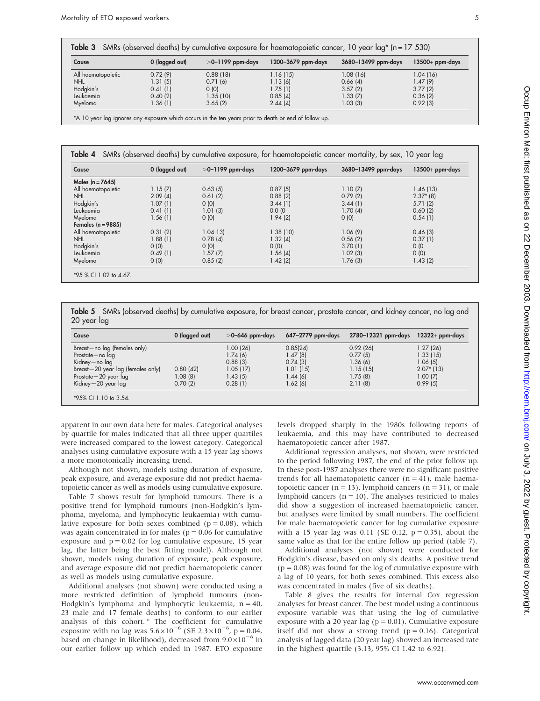| Cause              | 0 (lagged out) | $>$ 0–1199 ppm-days | 1200–3679 ppm-days | 3680–13499 ppm-days | $13500+$ ppm-days |
|--------------------|----------------|---------------------|--------------------|---------------------|-------------------|
| All haematopoietic | 0.72(9)        | 0.88(18)            | 1.16(15)           | 1.08(16)            | 1.04(16)          |
| <b>NHL</b>         | 1.31(5)        | 0.71(6)             | 1.13(6)            | 0.66(4)             | 1.47(9)           |
| Hodgkin's          | 0.41(1)        | (0)                 | 1.75(1)            | 3.57(2)             | 3.77(2)           |
| Leukaemia          | 0.40(2)        | 1.35(10)            | 0.85(4)            | 1.33(7)             | 0.36(2)           |
| Myeloma            | 1.36 (1)       | 3.65(2)             | 2.44(4)            | 1.03(3)             | 0.92(3)           |

Table 4 SMRs (observed deaths) by cumulative exposure, for haematopoietic cancer mortality, by sex, 10 year lag

| Cause                | 0 (lagged out) | $>$ 0–1199 ppm-days | 1200–3679 ppm-days | 3680-13499 ppm-days | $13500+$ ppm-days |
|----------------------|----------------|---------------------|--------------------|---------------------|-------------------|
| Males $(n = 7645)$   |                |                     |                    |                     |                   |
| All haematopoietic   | 1.15(7)        | 0.63(5)             | 0.87(5)            | 1.10(7)             | 1.46 (13)         |
| <b>NHL</b>           | 2.09(4)        | 0.61(2)             | 0.88(2)            | 0.79(2)             | $2.37*$ (8)       |
| Hodgkin's            | 1.07(1)        | O(0)                | 3.44(1)            | 3.44(1)             | 5.71(2)           |
| Leukaemia            | 0.41(1)        | 1.01(3)             | 0.0(0)             | 1.70(4)             | 0.60(2)           |
| Myeloma              | 1.56(1)        | O(0)                | 1.94(2)            | O(0)                | 0.54(1)           |
| Females $(n = 9885)$ |                |                     |                    |                     |                   |
| All haematopoietic   | 0.31(2)        | $1.04$ 13)          | 1.38(10)           | 1.06(9)             | 0.46(3)           |
| <b>NHL</b>           | 1.88(1)        | 0.78(4)             | 1.32(4)            | 0.56(2)             | 0.37(1)           |
| Hodgkin's            | 0(0)           | O(0)                | O(0)               | 3.70(1)             | 0/0               |
| Leukaemia            | 0.49(1)        | 1.57(7)             | 1.56(4)            | 1.02(3)             | O(0)              |
| Myeloma              | 0(0)           | 0.85(2)             | 1.42(2)            | 1.76(3)             | 1.43(2)           |

Table 5 SMRs (observed deaths) by cumulative exposure, for breast cancer, prostate cancer, and kidney cancer, no lag and 20 year lag

| Cause                                  | 0 (lagged out) | $>$ 0–646 ppm-days | 647–2779 ppm-days | 2780–12321 ppm-days | $12322+$ ppm-days |
|----------------------------------------|----------------|--------------------|-------------------|---------------------|-------------------|
| Breast-no lag (females only)           |                | 1.00(26)           | 0.85(24)          | 0.92(26)            | 1.27(26)          |
| Prostate-no lag                        |                | 1.74(6)            | 1.47(8)           | 0.77(5)             | 1.33(15)          |
| Kidney-no lag                          |                | 0.88(3)            | 0.74(3)           | 1.36 (6)            | 1.06(5)           |
| $Breat - 20$ year $lag$ (females only) | 0.80(42)       | 1.05(17)           | 1.01(15)          | 1.15(15)            | $2.07*$ (13)      |
| Prostate-20 year lag                   | 1.08(8)        | 1.43(5)            | 1.44(6)           | 1.75 (8)            | 1.00(7)           |
| Kidney-20 year lag                     | 0.70(2)        | 0.28(1)            | 1.62(6)           | 2.11(8)             | 0.99(5)           |
| *95% CI 1.10 to 3.54.                  |                |                    |                   |                     |                   |

apparent in our own data here for males. Categorical analyses by quartile for males indicated that all three upper quartiles were increased compared to the lowest category. Categorical analyses using cumulative exposure with a 15 year lag shows a more monotonically increasing trend.

Although not shown, models using duration of exposure, peak exposure, and average exposure did not predict haematopoietic cancer as well as models using cumulative exposure.

Table 7 shows result for lymphoid tumours. There is a positive trend for lymphoid tumours (non-Hodgkin's lymphoma, myeloma, and lymphocytic leukaemia) with cumulative exposure for both sexes combined ( $p = 0.08$ ), which was again concentrated in for males ( $p = 0.06$  for cumulative exposure and  $p = 0.02$  for log cumulative exposure, 15 year lag, the latter being the best fitting model). Although not shown, models using duration of exposure, peak exposure, and average exposure did not predict haematopoietic cancer as well as models using cumulative exposure.

Additional analyses (not shown) were conducted using a more restricted definition of lymphoid tumours (non-Hodgkin's lymphoma and lymphocytic leukaemia,  $n = 40$ , 23 male and 17 female deaths) to conform to our earlier analysis of this cohort.10 The coefficient for cumulative exposure with no lag was  $5.6 \times 10^{-6}$  (SE  $2.3 \times 10^{-6}$ , p = 0.04, based on change in likelihood), decreased from  $9.0\times10^{-6}$  in our earlier follow up which ended in 1987. ETO exposure levels dropped sharply in the 1980s following reports of leukaemia, and this may have contributed to decreased haematopoietic cancer after 1987.

Additional regression analyses, not shown, were restricted to the period following 1987, the end of the prior follow up. In these post-1987 analyses there were no significant positive trends for all haematopoietic cancer  $(n = 41)$ , male haematopoietic cancer ( $n = 13$ ), lymphoid cancers ( $n = 31$ ), or male lymphoid cancers ( $n = 10$ ). The analyses restricted to males did show a suggestion of increased haematopoietic cancer, but analyses were limited by small numbers. The coefficient for male haematopoietic cancer for log cumulative exposure with a 15 year lag was 0.11 (SE 0.12,  $p = 0.35$ ), about the same value as that for the entire follow up period (table 7).

Additional analyses (not shown) were conducted for Hodgkin's disease, based on only six deaths. A positive trend  $(p = 0.08)$  was found for the log of cumulative exposure with a lag of 10 years, for both sexes combined. This excess also was concentrated in males (five of six deaths).

Table 8 gives the results for internal Cox regression analyses for breast cancer. The best model using a continuous exposure variable was that using the log of cumulative exposure with a 20 year lag ( $p = 0.01$ ). Cumulative exposure itself did not show a strong trend  $(p = 0.16)$ . Categorical analysis of lagged data (20 year lag) showed an increased rate in the highest quartile (3.13, 95% CI 1.42 to 6.92).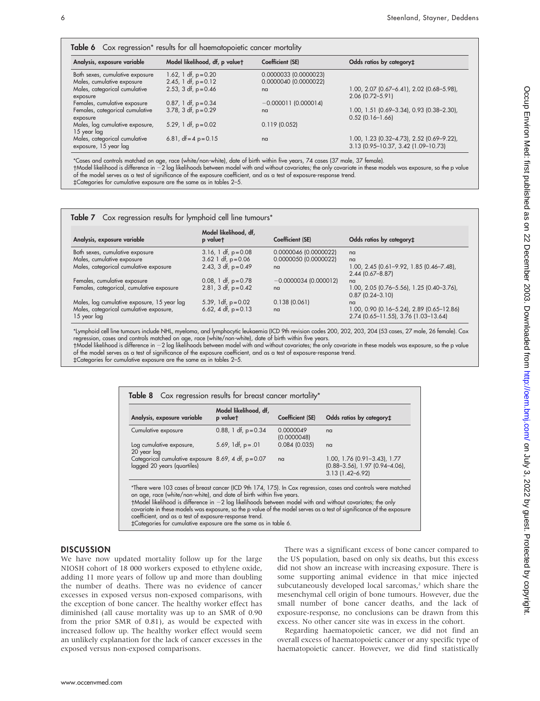| Table 6 Cox regression* results for all haematopoietic cancer mortality |                                                  |                                                |                                                                                  |
|-------------------------------------------------------------------------|--------------------------------------------------|------------------------------------------------|----------------------------------------------------------------------------------|
| Analysis, exposure variable                                             | Model likelihood, df, p valuet                   | Coefficient (SE)                               | Odds ratios by category#                                                         |
| Both sexes, cumulative exposure<br>Males, cumulative exposure           | 1.62, 1 df, $p = 0.20$<br>2.45, 1 df, $p = 0.12$ | 0.0000033 (0.0000023)<br>0.0000040 (0.0000022) |                                                                                  |
| Males, categorical cumulative<br>exposure                               | 2.53, 3 df, $p = 0.46$                           | n <sub>a</sub>                                 | 1.00, 2.07 (0.67-6.41), 2.02 (0.68-5.98),<br>2.06 (0.72-5.91)                    |
| Females, cumulative exposure                                            | $0.87$ , 1 df, p = $0.34$                        | $-0.000011(0.000014)$                          |                                                                                  |
| Females, categorical cumulative<br>exposure                             | $3.78$ , $3 df$ , $p = 0.29$                     | n <sub>a</sub>                                 | 1.00, 1.51 (0.69-3.34), 0.93 (0.38-2.30),<br>$0.52$ (0.16-1.66)                  |
| Males, log cumulative exposure,<br>15 year lag                          | 5.29, 1 df, $p = 0.02$                           | 0.119(0.052)                                   |                                                                                  |
| Males, categorical cumulative<br>exposure, 15 year lag                  | 6.81, $df = 4 p = 0.15$                          | nq                                             | 1.00, 1.23 (0.32-4.73), 2.52 (0.69-9.22),<br>3.13 (0.95-10.37, 3.42 (1.09-10.73) |

\*Cases and controls matched on age, race (white/non-white), date of birth within five years, 74 cases (37 male, 37 female).

-Model likelihood is difference in 22 log likelihoods between model with and without covariates; the only covariate in these models was exposure, so the p value of the model serves as a test of significance of the exposure coefficient, and as a test of exposure-response trend.

`Categories for cumulative exposure are the same as in tables 2–5.

|                                                                                                       | Model likelihood, df,                           |                        |                                                                                         |
|-------------------------------------------------------------------------------------------------------|-------------------------------------------------|------------------------|-----------------------------------------------------------------------------------------|
| Analysis, exposure variable                                                                           | p valuet                                        | Coefficient (SE)       | Odds ratios by category#                                                                |
| Both sexes, cumulative exposure                                                                       | $3.16$ , 1 df, p= $0.08$                        | 0.0000046 (0.0000022)  | nq                                                                                      |
| Males, cumulative exposure                                                                            | 3.62 1 df, $p = 0.06$                           | 0.0000050 (0.0000022)  | nq                                                                                      |
| Males, categorical cumulative exposure                                                                | 2.43, 3 df, $p = 0.49$                          | nq                     | 1.00, 2.45 (0.61-9.92, 1.85 (0.46-7.48),<br>2.44 (0.67-8.87)                            |
| Females, cumulative exposure                                                                          | 0.08, 1 df, $p = 0.78$                          | $-0.0000034(0.000012)$ | n <sub>a</sub>                                                                          |
| Females, categorical, cumulative exposure                                                             | 2.81, 3 df, $p = 0.42$                          | nq                     | 1.00, 2.05 (0.76-5.56), 1.25 (0.40-3.76),<br>$0.87(0.24 - 3.10)$                        |
| Males, log cumulative exposure, 15 year lag<br>Males, categorical cumulative exposure,<br>15 year lag | 5.39, 1df, $p = 0.02$<br>6.62, 4 df, $p = 0.13$ | 0.138(0.061)<br>nq     | na<br>1.00, 0.90 (0.16–5.24), 2.89 (0.65–12.86)<br>2.74 (0.65-11.55), 3.76 (1.03-13.64) |

\*Lymphoid cell line tumours include NHL, myeloma, and lymphocytic leukaemia (ICD 9th revision codes 200, 202, 203, 204 (53 cases, 27 male, 26 female). Cox regression, cases and controls matched on age, race (white/non-white), date of birth within five years.

-Model likelihood is difference in 22 log likelihoods between model with and without covariates; the only covariate in these models was exposure, so the p value of the model serves as a test of significance of the exposure coefficient, and as a test of exposure-response trend.

`Categories for cumulative exposure are the same as in tables 2–5.

| Analysis, exposure variable                                                          | Model likelihood, df,<br>p valuet | Coefficient (SE)         | Odds ratios by category#                                                                        |
|--------------------------------------------------------------------------------------|-----------------------------------|--------------------------|-------------------------------------------------------------------------------------------------|
| Cumulative exposure                                                                  | 0.88, 1 df, $p = 0.34$            | 0.0000049<br>(0.0000048) | na                                                                                              |
| Log cumulative exposure,<br>20 year lag                                              | 5.69, 1df, $p = .01$              | 0.084(0.035)             | na                                                                                              |
| Categorical cumulative exposure $8.69$ , 4 df, p=0.07<br>lagged 20 years (quartiles) |                                   | na                       | 1.00, 1.76 (0.91-3.43), 1.77<br>$(0.88 - 3.56)$ , 1.97 $(0.94 - 4.06)$ ,<br>$3.13(1.42 - 6.92)$ |

covariate in these models was exposure, so the p value of the model serves as a test of significance of the exposure coefficient, and as a test of exposure-response trend.

`Categories for cumulative exposure are the same as in table 6.

#### **DISCUSSION**

We have now updated mortality follow up for the large NIOSH cohort of 18 000 workers exposed to ethylene oxide, adding 11 more years of follow up and more than doubling the number of deaths. There was no evidence of cancer excesses in exposed versus non-exposed comparisons, with the exception of bone cancer. The healthy worker effect has diminished (all cause mortality was up to an SMR of 0.90 from the prior SMR of 0.81), as would be expected with increased follow up. The healthy worker effect would seem an unlikely explanation for the lack of cancer excesses in the exposed versus non-exposed comparisons.

There was a significant excess of bone cancer compared to the US population, based on only six deaths, but this excess did not show an increase with increasing exposure. There is some supporting animal evidence in that mice injected subcutaneously developed local sarcomas,<sup>2</sup> which share the mesenchymal cell origin of bone tumours. However, due the small number of bone cancer deaths, and the lack of exposure-response, no conclusions can be drawn from this excess. No other cancer site was in excess in the cohort.

Regarding haematopoietic cancer, we did not find an overall excess of haematopoietic cancer or any specific type of haematopoietic cancer. However, we did find statistically